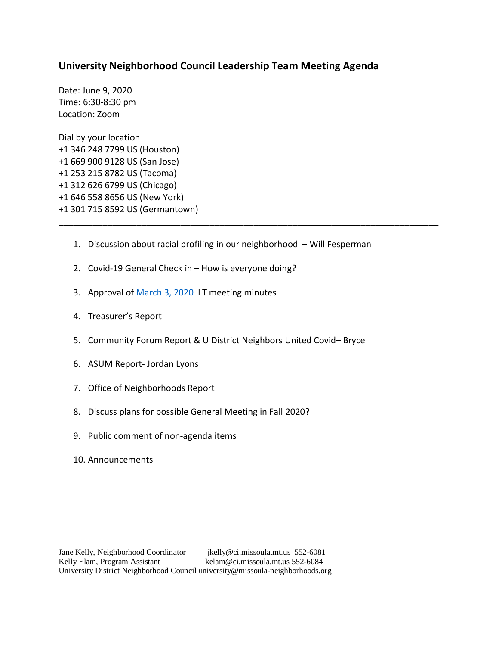## **University Neighborhood Council Leadership Team Meeting Agenda**

Date: June 9, 2020 Time: 6:30-8:30 pm Location: Zoom

Dial by your location +1 346 248 7799 US (Houston) +1 669 900 9128 US (San Jose) +1 253 215 8782 US (Tacoma) +1 312 626 6799 US (Chicago) +1 646 558 8656 US (New York) +1 301 715 8592 US (Germantown)

1. Discussion about racial profiling in our neighborhood – Will Fesperman

\_\_\_\_\_\_\_\_\_\_\_\_\_\_\_\_\_\_\_\_\_\_\_\_\_\_\_\_\_\_\_\_\_\_\_\_\_\_\_\_\_\_\_\_\_\_\_\_\_\_\_\_\_\_\_\_\_\_\_\_\_\_\_\_\_\_\_\_\_\_\_\_\_\_\_\_\_\_

- 2. Covid-19 General Check in How is everyone doing?
- 3. Approval of [March 3, 2020](https://www.ci.missoula.mt.us/ArchiveCenter/ViewFile/Item/15024) LT meeting minutes
- 4. Treasurer's Report
- 5. Community Forum Report & U District Neighbors United Covid– Bryce
- 6. ASUM Report- Jordan Lyons
- 7. Office of Neighborhoods Report
- 8. Discuss plans for possible General Meeting in Fall 2020?
- 9. Public comment of non-agenda items
- 10. Announcements